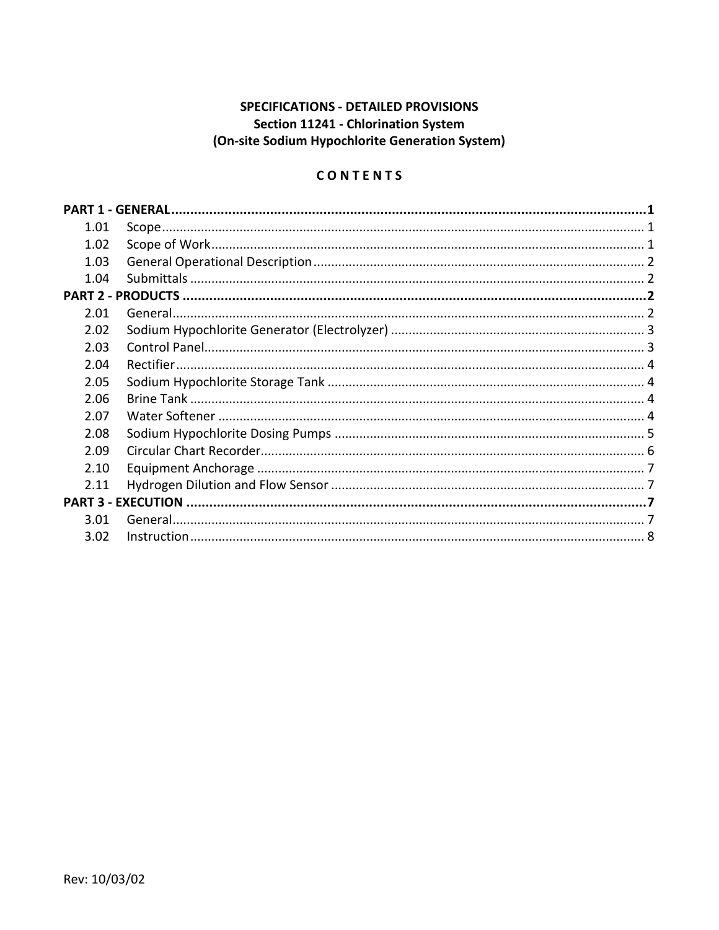# **SPECIFICATIONS - DETAILED PROVISIONS** Section 11241 - Chlorination System (On-site Sodium Hypochlorite Generation System)

# CONTENTS

| 1.01 |  |  |
|------|--|--|
| 1.02 |  |  |
| 1.03 |  |  |
| 1.04 |  |  |
|      |  |  |
| 2.01 |  |  |
| 2.02 |  |  |
| 2.03 |  |  |
| 2.04 |  |  |
| 2.05 |  |  |
| 2.06 |  |  |
| 2.07 |  |  |
| 2.08 |  |  |
| 2.09 |  |  |
| 2.10 |  |  |
| 2.11 |  |  |
|      |  |  |
| 3.01 |  |  |
| 3.02 |  |  |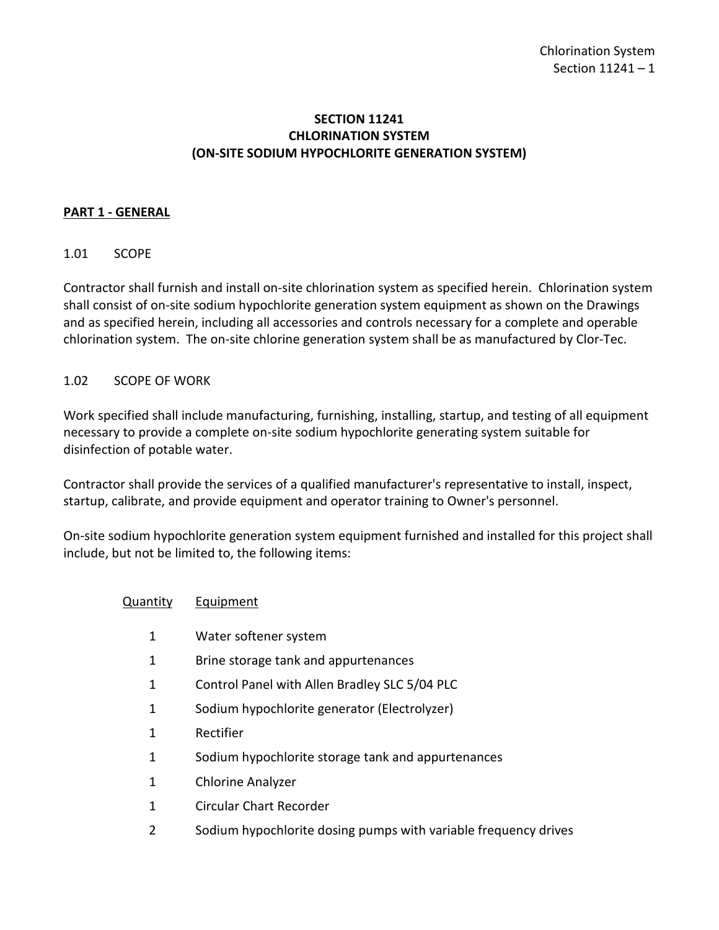## **SECTION 11241 CHLORINATION SYSTEM (ON-SITE SODIUM HYPOCHLORITE GENERATION SYSTEM)**

## <span id="page-2-0"></span>**PART 1 - GENERAL**

## <span id="page-2-1"></span>1.01 SCOPE

Contractor shall furnish and install on-site chlorination system as specified herein. Chlorination system shall consist of on-site sodium hypochlorite generation system equipment as shown on the Drawings and as specified herein, including all accessories and controls necessary for a complete and operable chlorination system. The on-site chlorine generation system shall be as manufactured by Clor-Tec.

#### <span id="page-2-2"></span>1.02 SCOPE OF WORK

Work specified shall include manufacturing, furnishing, installing, startup, and testing of all equipment necessary to provide a complete on-site sodium hypochlorite generating system suitable for disinfection of potable water.

Contractor shall provide the services of a qualified manufacturer's representative to install, inspect, startup, calibrate, and provide equipment and operator training to Owner's personnel.

On-site sodium hypochlorite generation system equipment furnished and installed for this project shall include, but not be limited to, the following items:

- Quantity Equipment
	- 1 Water softener system
	- 1 Brine storage tank and appurtenances
	- 1 Control Panel with Allen Bradley SLC 5/04 PLC
	- 1 Sodium hypochlorite generator (Electrolyzer)
	- 1 Rectifier
	- 1 Sodium hypochlorite storage tank and appurtenances
	- 1 Chlorine Analyzer
	- 1 Circular Chart Recorder
	- 2 Sodium hypochlorite dosing pumps with variable frequency drives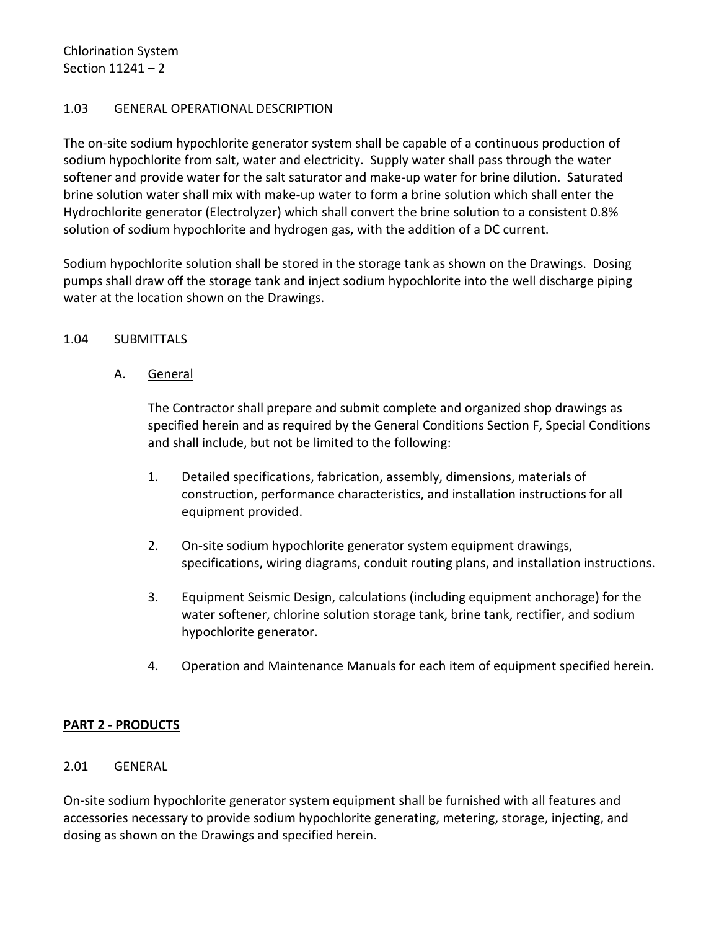Chlorination System Section 11241 – 2

#### <span id="page-3-0"></span>1.03 GENERAL OPERATIONAL DESCRIPTION

The on-site sodium hypochlorite generator system shall be capable of a continuous production of sodium hypochlorite from salt, water and electricity. Supply water shall pass through the water softener and provide water for the salt saturator and make-up water for brine dilution. Saturated brine solution water shall mix with make-up water to form a brine solution which shall enter the Hydrochlorite generator (Electrolyzer) which shall convert the brine solution to a consistent 0.8% solution of sodium hypochlorite and hydrogen gas, with the addition of a DC current.

Sodium hypochlorite solution shall be stored in the storage tank as shown on the Drawings. Dosing pumps shall draw off the storage tank and inject sodium hypochlorite into the well discharge piping water at the location shown on the Drawings.

#### <span id="page-3-1"></span>1.04 SUBMITTALS

## A. General

The Contractor shall prepare and submit complete and organized shop drawings as specified herein and as required by the General Conditions Section F, Special Conditions and shall include, but not be limited to the following:

- 1. Detailed specifications, fabrication, assembly, dimensions, materials of construction, performance characteristics, and installation instructions for all equipment provided.
- 2. On-site sodium hypochlorite generator system equipment drawings, specifications, wiring diagrams, conduit routing plans, and installation instructions.
- 3. Equipment Seismic Design, calculations (including equipment anchorage) for the water softener, chlorine solution storage tank, brine tank, rectifier, and sodium hypochlorite generator.
- 4. Operation and Maintenance Manuals for each item of equipment specified herein.

#### <span id="page-3-2"></span>**PART 2 - PRODUCTS**

#### <span id="page-3-3"></span>2.01 GENERAL

On-site sodium hypochlorite generator system equipment shall be furnished with all features and accessories necessary to provide sodium hypochlorite generating, metering, storage, injecting, and dosing as shown on the Drawings and specified herein.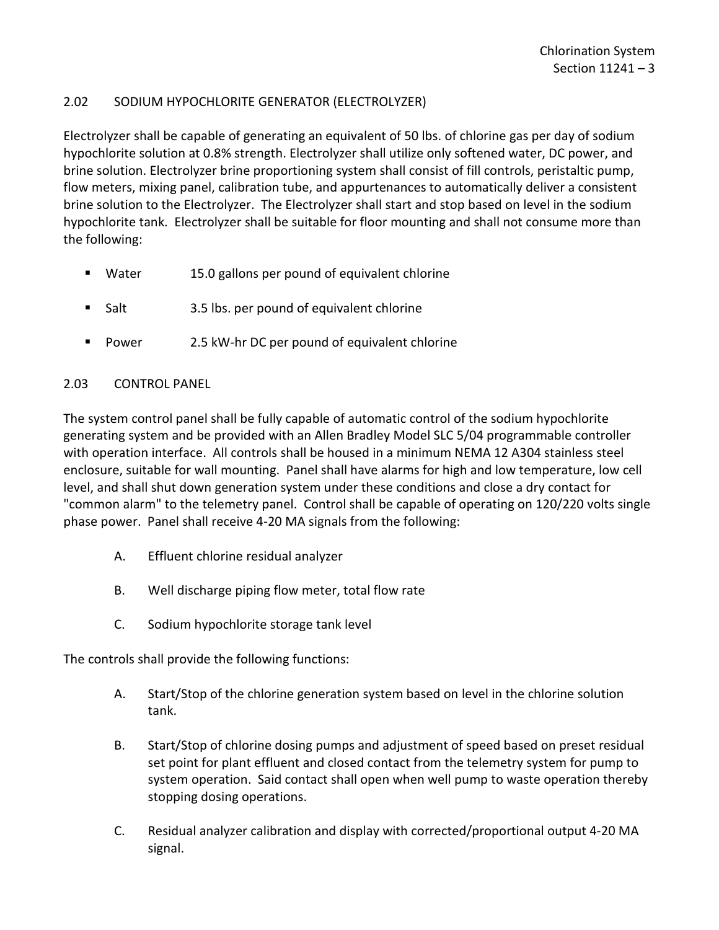## <span id="page-4-0"></span>2.02 SODIUM HYPOCHLORITE GENERATOR (ELECTROLYZER)

Electrolyzer shall be capable of generating an equivalent of 50 lbs. of chlorine gas per day of sodium hypochlorite solution at 0.8% strength. Electrolyzer shall utilize only softened water, DC power, and brine solution. Electrolyzer brine proportioning system shall consist of fill controls, peristaltic pump, flow meters, mixing panel, calibration tube, and appurtenances to automatically deliver a consistent brine solution to the Electrolyzer. The Electrolyzer shall start and stop based on level in the sodium hypochlorite tank. Electrolyzer shall be suitable for floor mounting and shall not consume more than the following:

- **Water** 15.0 gallons per pound of equivalent chlorine
- Salt 3.5 lbs. per pound of equivalent chlorine
- Power 2.5 kW-hr DC per pound of equivalent chlorine

## <span id="page-4-1"></span>2.03 CONTROL PANEL

The system control panel shall be fully capable of automatic control of the sodium hypochlorite generating system and be provided with an Allen Bradley Model SLC 5/04 programmable controller with operation interface. All controls shall be housed in a minimum NEMA 12 A304 stainless steel enclosure, suitable for wall mounting. Panel shall have alarms for high and low temperature, low cell level, and shall shut down generation system under these conditions and close a dry contact for "common alarm" to the telemetry panel. Control shall be capable of operating on 120/220 volts single phase power. Panel shall receive 4-20 MA signals from the following:

- A. Effluent chlorine residual analyzer
- B. Well discharge piping flow meter, total flow rate
- C. Sodium hypochlorite storage tank level

The controls shall provide the following functions:

- A. Start/Stop of the chlorine generation system based on level in the chlorine solution tank.
- B. Start/Stop of chlorine dosing pumps and adjustment of speed based on preset residual set point for plant effluent and closed contact from the telemetry system for pump to system operation. Said contact shall open when well pump to waste operation thereby stopping dosing operations.
- C. Residual analyzer calibration and display with corrected/proportional output 4-20 MA signal.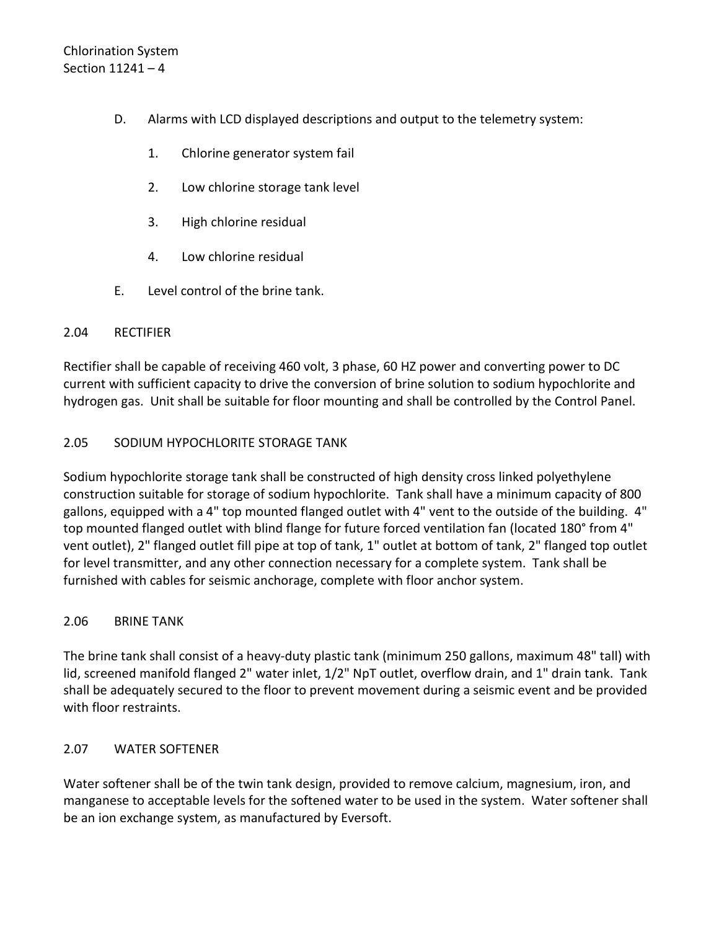- D. Alarms with LCD displayed descriptions and output to the telemetry system:
	- 1. Chlorine generator system fail
	- 2. Low chlorine storage tank level
	- 3. High chlorine residual
	- 4. Low chlorine residual
- E. Level control of the brine tank.

## <span id="page-5-0"></span>2.04 RECTIFIER

Rectifier shall be capable of receiving 460 volt, 3 phase, 60 HZ power and converting power to DC current with sufficient capacity to drive the conversion of brine solution to sodium hypochlorite and hydrogen gas. Unit shall be suitable for floor mounting and shall be controlled by the Control Panel.

## <span id="page-5-1"></span>2.05 SODIUM HYPOCHLORITE STORAGE TANK

Sodium hypochlorite storage tank shall be constructed of high density cross linked polyethylene construction suitable for storage of sodium hypochlorite. Tank shall have a minimum capacity of 800 gallons, equipped with a 4" top mounted flanged outlet with 4" vent to the outside of the building. 4" top mounted flanged outlet with blind flange for future forced ventilation fan (located 180° from 4" vent outlet), 2" flanged outlet fill pipe at top of tank, 1" outlet at bottom of tank, 2" flanged top outlet for level transmitter, and any other connection necessary for a complete system. Tank shall be furnished with cables for seismic anchorage, complete with floor anchor system.

#### <span id="page-5-2"></span>2.06 BRINE TANK

The brine tank shall consist of a heavy-duty plastic tank (minimum 250 gallons, maximum 48" tall) with lid, screened manifold flanged 2" water inlet, 1/2" NpT outlet, overflow drain, and 1" drain tank. Tank shall be adequately secured to the floor to prevent movement during a seismic event and be provided with floor restraints.

## <span id="page-5-3"></span>2.07 WATER SOFTENER

Water softener shall be of the twin tank design, provided to remove calcium, magnesium, iron, and manganese to acceptable levels for the softened water to be used in the system. Water softener shall be an ion exchange system, as manufactured by Eversoft.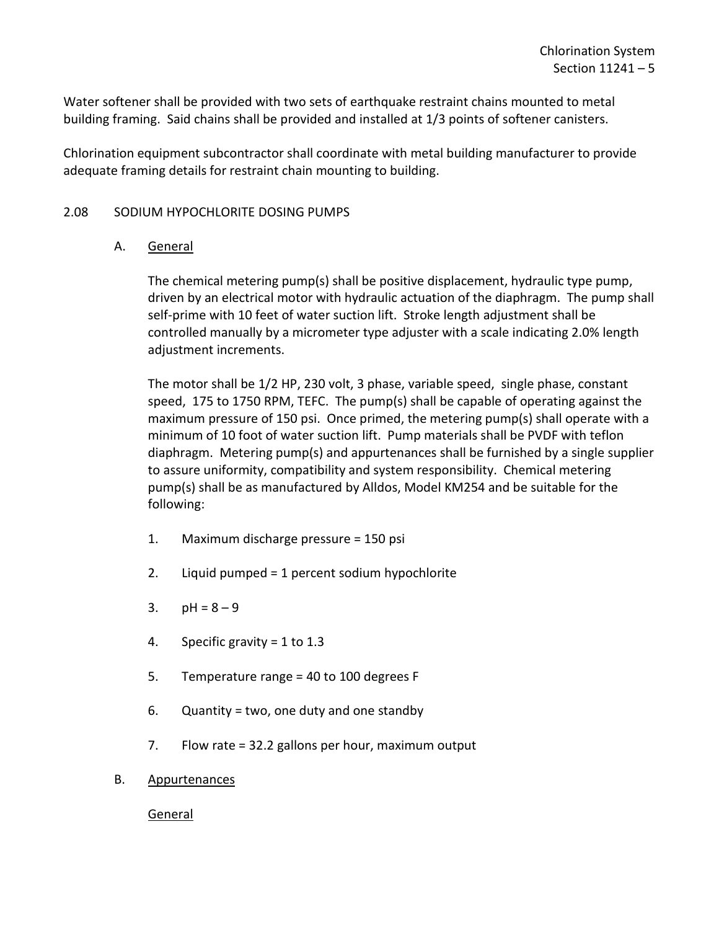Water softener shall be provided with two sets of earthquake restraint chains mounted to metal building framing. Said chains shall be provided and installed at 1/3 points of softener canisters.

Chlorination equipment subcontractor shall coordinate with metal building manufacturer to provide adequate framing details for restraint chain mounting to building.

## <span id="page-6-0"></span>2.08 SODIUM HYPOCHLORITE DOSING PUMPS

#### A. General

The chemical metering pump(s) shall be positive displacement, hydraulic type pump, driven by an electrical motor with hydraulic actuation of the diaphragm. The pump shall self-prime with 10 feet of water suction lift. Stroke length adjustment shall be controlled manually by a micrometer type adjuster with a scale indicating 2.0% length adjustment increments.

The motor shall be 1/2 HP, 230 volt, 3 phase, variable speed, single phase, constant speed, 175 to 1750 RPM, TEFC. The pump(s) shall be capable of operating against the maximum pressure of 150 psi. Once primed, the metering pump(s) shall operate with a minimum of 10 foot of water suction lift. Pump materials shall be PVDF with teflon diaphragm. Metering pump(s) and appurtenances shall be furnished by a single supplier to assure uniformity, compatibility and system responsibility. Chemical metering pump(s) shall be as manufactured by Alldos, Model KM254 and be suitable for the following:

- 1. Maximum discharge pressure = 150 psi
- 2. Liquid pumped = 1 percent sodium hypochlorite
- 3.  $pH = 8 9$
- 4. Specific gravity = 1 to 1.3
- 5. Temperature range = 40 to 100 degrees F
- 6. Quantity = two, one duty and one standby
- 7. Flow rate = 32.2 gallons per hour, maximum output
- B. Appurtenances

General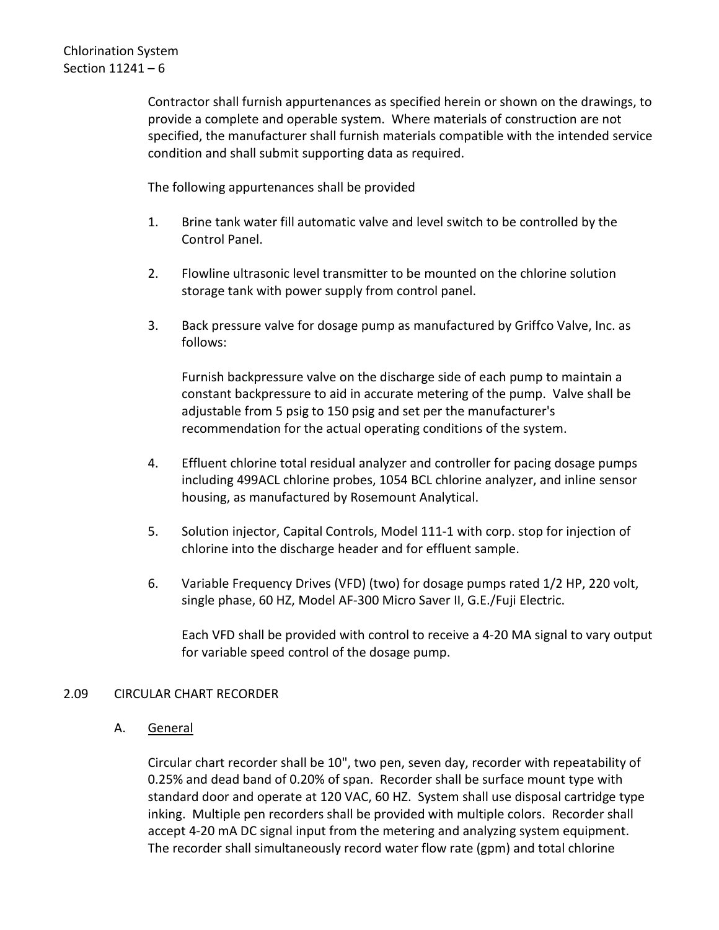Contractor shall furnish appurtenances as specified herein or shown on the drawings, to provide a complete and operable system. Where materials of construction are not specified, the manufacturer shall furnish materials compatible with the intended service condition and shall submit supporting data as required.

The following appurtenances shall be provided

- 1. Brine tank water fill automatic valve and level switch to be controlled by the Control Panel.
- 2. Flowline ultrasonic level transmitter to be mounted on the chlorine solution storage tank with power supply from control panel.
- 3. Back pressure valve for dosage pump as manufactured by Griffco Valve, Inc. as follows:

Furnish backpressure valve on the discharge side of each pump to maintain a constant backpressure to aid in accurate metering of the pump. Valve shall be adjustable from 5 psig to 150 psig and set per the manufacturer's recommendation for the actual operating conditions of the system.

- 4. Effluent chlorine total residual analyzer and controller for pacing dosage pumps including 499ACL chlorine probes, 1054 BCL chlorine analyzer, and inline sensor housing, as manufactured by Rosemount Analytical.
- 5. Solution injector, Capital Controls, Model 111-1 with corp. stop for injection of chlorine into the discharge header and for effluent sample.
- 6. Variable Frequency Drives (VFD) (two) for dosage pumps rated 1/2 HP, 220 volt, single phase, 60 HZ, Model AF-300 Micro Saver II, G.E./Fuji Electric.

Each VFD shall be provided with control to receive a 4-20 MA signal to vary output for variable speed control of the dosage pump.

## <span id="page-7-0"></span>2.09 CIRCULAR CHART RECORDER

A. General

Circular chart recorder shall be 10", two pen, seven day, recorder with repeatability of 0.25% and dead band of 0.20% of span. Recorder shall be surface mount type with standard door and operate at 120 VAC, 60 HZ. System shall use disposal cartridge type inking. Multiple pen recorders shall be provided with multiple colors. Recorder shall accept 4-20 mA DC signal input from the metering and analyzing system equipment. The recorder shall simultaneously record water flow rate (gpm) and total chlorine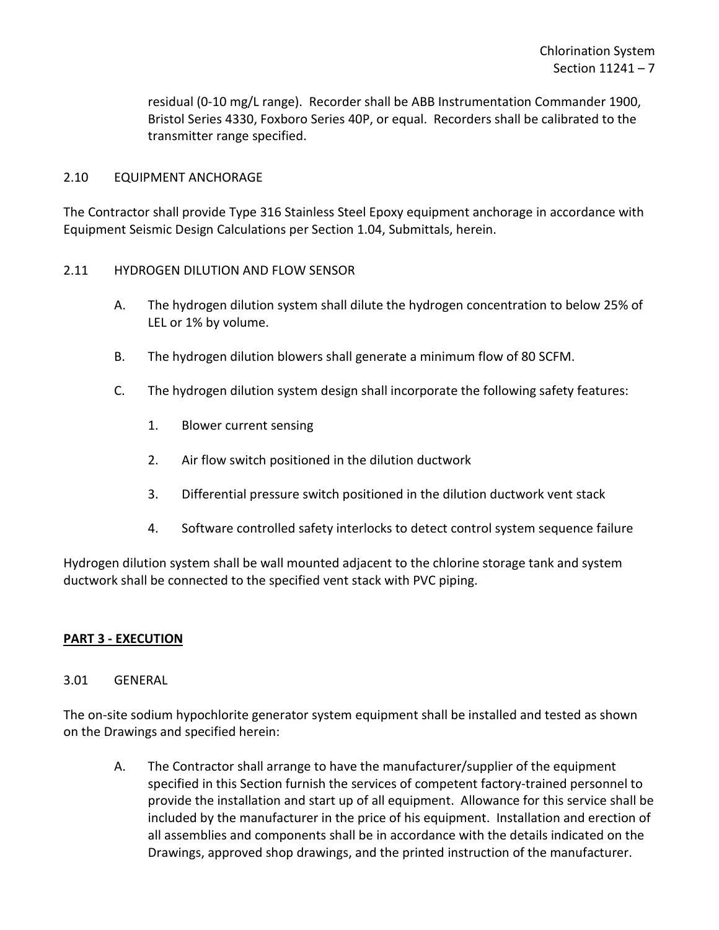residual (0-10 mg/L range). Recorder shall be ABB Instrumentation Commander 1900, Bristol Series 4330, Foxboro Series 40P, or equal. Recorders shall be calibrated to the transmitter range specified.

#### <span id="page-8-0"></span>2.10 EQUIPMENT ANCHORAGE

The Contractor shall provide Type 316 Stainless Steel Epoxy equipment anchorage in accordance with Equipment Seismic Design Calculations per Section 1.04, Submittals, herein.

## <span id="page-8-1"></span>2.11 HYDROGEN DILUTION AND FLOW SENSOR

- A. The hydrogen dilution system shall dilute the hydrogen concentration to below 25% of LEL or 1% by volume.
- B. The hydrogen dilution blowers shall generate a minimum flow of 80 SCFM.
- C. The hydrogen dilution system design shall incorporate the following safety features:
	- 1. Blower current sensing
	- 2. Air flow switch positioned in the dilution ductwork
	- 3. Differential pressure switch positioned in the dilution ductwork vent stack
	- 4. Software controlled safety interlocks to detect control system sequence failure

Hydrogen dilution system shall be wall mounted adjacent to the chlorine storage tank and system ductwork shall be connected to the specified vent stack with PVC piping.

#### <span id="page-8-2"></span>**PART 3 - EXECUTION**

#### <span id="page-8-3"></span>3.01 GENERAL

The on-site sodium hypochlorite generator system equipment shall be installed and tested as shown on the Drawings and specified herein:

A. The Contractor shall arrange to have the manufacturer/supplier of the equipment specified in this Section furnish the services of competent factory-trained personnel to provide the installation and start up of all equipment. Allowance for this service shall be included by the manufacturer in the price of his equipment. Installation and erection of all assemblies and components shall be in accordance with the details indicated on the Drawings, approved shop drawings, and the printed instruction of the manufacturer.